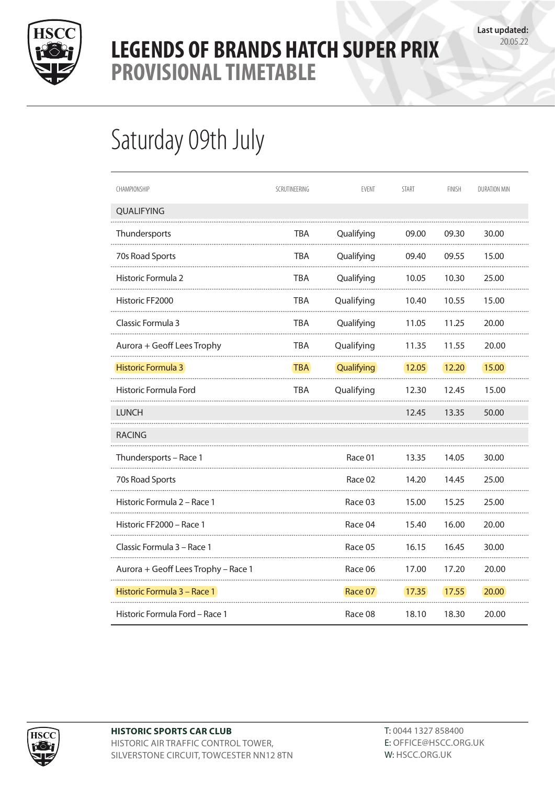

## **LEGENDS OF BRANDS HATCH SUPER PRIX** Provisional Timetable Provisional Timetable **PROVISIONAL TIMETABLE**

## Saturday 09th July

| CHAMPIONSHIP                        | SCRUTINEERING | EVENT      | <b>START</b> | <b>FINISH</b> | DURATION MIN |
|-------------------------------------|---------------|------------|--------------|---------------|--------------|
| QUALIFYING                          |               |            |              |               |              |
| Thundersports                       | TBA           | Qualifying | 09.00        | 09.30         | 30.00        |
| 70s Road Sports                     | TBA           | Qualifying | 09.40        | 09.55         | 15.00        |
| Historic Formula 2                  | TBA           | Qualifying | 10.05        | 10.30         | 25.00        |
| Historic FF2000                     | TBA           | Qualifying | 10.40        | 10.55         | 15.00        |
| Classic Formula 3                   | TBA           | Qualifying | 11.05        | 11.25         | 20.00        |
| Aurora + Geoff Lees Trophy          | <b>TBA</b>    | Qualifying | 11.35        | 11.55         | 20.00        |
| <b>Historic Formula 3</b>           | <b>TBA</b>    | Qualifying | <b>12.05</b> | 12.20         | 15.00        |
| Historic Formula Ford               | TBA           | Qualifying | 12.30        | 12.45         | 15.00        |
| <b>LUNCH</b>                        |               |            | 12.45        | 13.35         | 50.00        |
| <b>RACING</b>                       |               |            |              |               |              |
| Thundersports - Race 1              |               | Race 01    | 13.35        | 14.05         | 30.00        |
| 70s Road Sports                     |               | Race 02    | 14.20        | 14.45         | 25.00        |
| Historic Formula 2 – Race 1         |               | Race 03    | 15.00        | 15.25         | 25.00        |
| Historic FF2000 - Race 1            |               | Race 04    | 15.40        | 16.00         | 20.00        |
| Classic Formula 3 – Race 1          |               | Race 05    | 16.15        | 16.45         | 30.00        |
| Aurora + Geoff Lees Trophy - Race 1 |               | Race 06    | 17.00        | 17.20         | 20.00        |
| Historic Formula 3 - Race 1         |               | Race 07    | 17.35        | 17.55         | 20.00        |
| Historic Formula Ford - Race 1      |               | Race 08    | 18.10        | 18.30         | 20.00        |